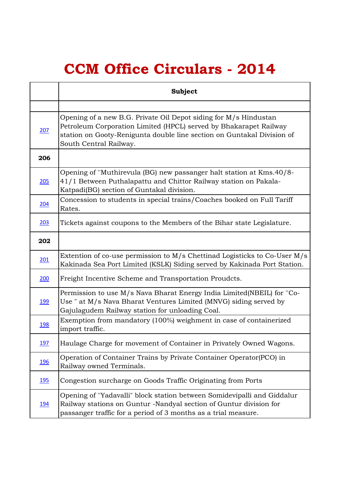## **CCM Office Circulars - 2014**

|             | <b>Subject</b>                                                                                                                                                                                                                            |
|-------------|-------------------------------------------------------------------------------------------------------------------------------------------------------------------------------------------------------------------------------------------|
|             |                                                                                                                                                                                                                                           |
| 207         | Opening of a new B.G. Private Oil Depot siding for M/s Hindustan<br>Petroleum Corporation Limited (HPCL) served by Bhakarapet Railway<br>station on Gooty-Renigunta double line section on Guntakal Division of<br>South Central Railway. |
| 206         |                                                                                                                                                                                                                                           |
| 205         | Opening of "Muthirevula (BG) new passanger halt station at Kms. 40/8-<br>41/1 Between Puthalapattu and Chittor Railway station on Pakala-<br>Katpadi(BG) section of Guntakal division.                                                    |
| <u>204</u>  | Concession to students in special trains/Coaches booked on Full Tariff<br>Rates.                                                                                                                                                          |
| 203         | Tickets against coupons to the Members of the Bihar state Legislature.                                                                                                                                                                    |
| 202         |                                                                                                                                                                                                                                           |
| 201         | Extention of co-use permission to M/s Chettinad Logisticks to Co-User M/s<br>Kakinada Sea Port Limited (KSLK) Siding served by Kakinada Port Station.                                                                                     |
| 200         | Freight Incentive Scheme and Transportation Proudcts.                                                                                                                                                                                     |
| <u>199</u>  | Permission to use M/s Nava Bharat Energy India Limited(NBEIL) for "Co-<br>Use " at M/s Nava Bharat Ventures Limited (MNVG) siding served by<br>Gajulagudem Railway station for unloading Coal.                                            |
| <u>198</u>  | Exemption from mandatory (100%) weighment in case of containerized<br>import traffic.                                                                                                                                                     |
| <u>197</u>  | Haulage Charge for movement of Container in Privately Owned Wagons.                                                                                                                                                                       |
| <u>196</u>  | Operation of Container Trains by Private Container Operator(PCO) in<br>Railway owned Terminals.                                                                                                                                           |
| <u>195</u>  | Congestion surcharge on Goods Traffic Originating from Ports                                                                                                                                                                              |
| <u> 194</u> | Opening of "Yadavalli" block station between Somidevipalli and Giddalur<br>Railway stations on Guntur -Nandyal section of Guntur division for<br>passanger traffic for a period of 3 months as a trial measure.                           |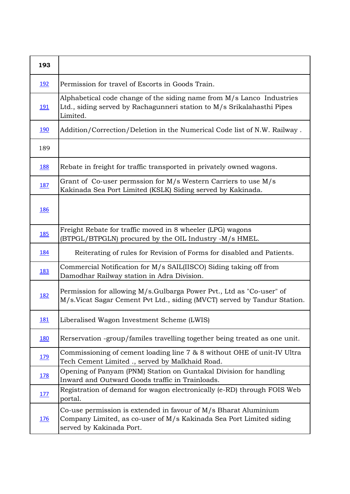| 193         |                                                                                                                                                                    |
|-------------|--------------------------------------------------------------------------------------------------------------------------------------------------------------------|
| <u>192</u>  | Permission for travel of Escorts in Goods Train.                                                                                                                   |
| <u> 191</u> | Alphabetical code change of the siding name from M/s Lanco Industries<br>Ltd., siding served by Rachagunneri station to M/s Srikalahasthi Pipes<br>Limited.        |
| <u>190</u>  | Addition/Correction/Deletion in the Numerical Code list of N.W. Railway.                                                                                           |
| 189         |                                                                                                                                                                    |
| <u>188</u>  | Rebate in freight for traffic transported in privately owned wagons.                                                                                               |
| <u>187</u>  | Grant of Co-user permssion for M/s Western Carriers to use M/s<br>Kakinada Sea Port Limited (KSLK) Siding served by Kakinada.                                      |
| <b>186</b>  |                                                                                                                                                                    |
| <u>185</u>  | Freight Rebate for traffic moved in 8 wheeler (LPG) wagons<br>(BTPGL/BTPGLN) procured by the OIL Industry -M/s HMEL.                                               |
| <u>184</u>  | Reiterating of rules for Revision of Forms for disabled and Patients.                                                                                              |
| <u>183</u>  | Commercial Notification for M/s SAIL(IISCO) Siding taking off from<br>Damodhar Railway station in Adra Division.                                                   |
| <u>182</u>  | Permission for allowing M/s.Gulbarga Power Pvt., Ltd as "Co-user" of<br>M/s.Vicat Sagar Cement Pvt Ltd., siding (MVCT) served by Tandur Station.                   |
| <u>181</u>  | Liberalised Wagon Investment Scheme (LWIS)                                                                                                                         |
| <u>180</u>  | Rerservation -group/familes travelling together being treated as one unit.                                                                                         |
| <u> 179</u> | Commissioning of cement loading line 7 & 8 without OHE of unit-IV Ultra<br>Tech Cement Limited ., served by Malkhaid Road.                                         |
| <u>178</u>  | Opening of Panyam (PNM) Station on Guntakal Division for handling<br>Inward and Outward Goods traffic in Trainloads.                                               |
| <u> 177</u> | Registration of demand for wagon electronically (e-RD) through FOIS Web<br>portal.                                                                                 |
| <u>176</u>  | Co-use permission is extended in favour of M/s Bharat Aluminium<br>Company Limited, as co-user of M/s Kakinada Sea Port Limited siding<br>served by Kakinada Port. |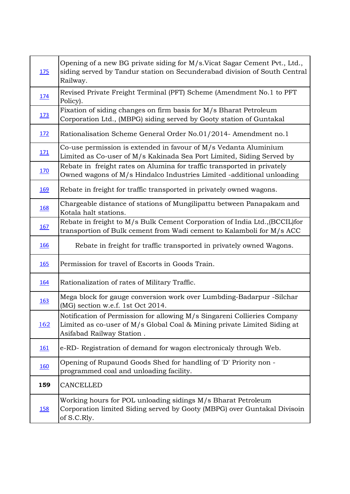| <u>175</u>  | Opening of a new BG private siding for M/s. Vicat Sagar Cement Pvt., Ltd.,<br>siding served by Tandur station on Secunderabad division of South Central<br>Railway.               |
|-------------|-----------------------------------------------------------------------------------------------------------------------------------------------------------------------------------|
| <u>174</u>  | Revised Private Freight Terminal (PFT) Scheme (Amendment No.1 to PFT<br>Policy).                                                                                                  |
| <u>173</u>  | Fixation of siding changes on firm basis for M/s Bharat Petroleum<br>Corporation Ltd., (MBPG) siding served by Gooty station of Guntakal                                          |
| <u>172</u>  | Rationalisation Scheme General Order No.01/2014- Amendment no.1                                                                                                                   |
| 171         | Co-use permission is extended in favour of M/s Vedanta Aluminium<br>Limited as Co-user of M/s Kakinada Sea Port Limited, Siding Served by                                         |
| <u>170</u>  | Rebate in freight rates on Alumina for traffic transported in privately<br>Owned wagons of M/s Hindalco Industries Limited -additional unloading                                  |
| <u>169</u>  | Rebate in freight for traffic transported in privately owned wagons.                                                                                                              |
| <u>168</u>  | Chargeable distance of stations of Mungilipattu between Panapakam and<br>Kotala halt stations.                                                                                    |
| <u>167</u>  | Rebate in freight to M/s Bulk Cement Corporation of India Ltd., (BCCIL) for<br>transportion of Bulk cement from Wadi cement to Kalamboli for M/s ACC                              |
| <u>166</u>  | Rebate in freight for traffic transported in privately owned Wagons.                                                                                                              |
| <u>165</u>  | Permission for travel of Escorts in Goods Train.                                                                                                                                  |
| <u>164</u>  | Rationalization of rates of Military Traffic.                                                                                                                                     |
| <u>163</u>  | Mega block for gauge conversion work over Lumbding-Badarpur -Silchar<br>(MG) section w.e.f. 1st Oct 2014.                                                                         |
| <u> 162</u> | Notification of Permission for allowing M/s Singareni Collieries Company<br>Limited as co-user of M/s Global Coal & Mining private Limited Siding at<br>Asifabad Railway Station. |
| <u>161</u>  | e-RD- Registration of demand for wagon electronicaly through Web.                                                                                                                 |
| <u>160</u>  | Opening of Rupaund Goods Shed for handling of 'D' Priority non -<br>programmed coal and unloading facility.                                                                       |
| 159         | CANCELLED                                                                                                                                                                         |
| <u>158</u>  | Working hours for POL unloading sidings M/s Bharat Petroleum<br>Corporation limited Siding served by Gooty (MBPG) over Guntakal Divisoin<br>of S.C.Rly.                           |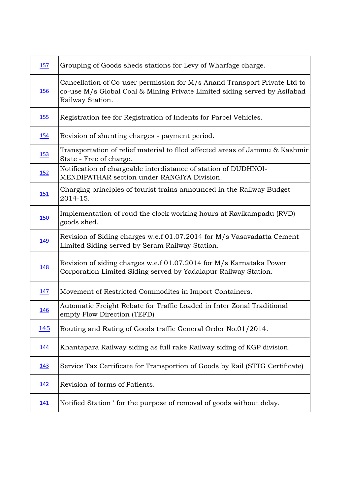| 157         | Grouping of Goods sheds stations for Levy of Wharfage charge.                                                                                                              |
|-------------|----------------------------------------------------------------------------------------------------------------------------------------------------------------------------|
| <u>156</u>  | Cancellation of Co-user permission for M/s Anand Transport Private Ltd to<br>co-use M/s Global Coal & Mining Private Limited siding served by Asifabad<br>Railway Station. |
| <u>155</u>  | Registration fee for Registration of Indents for Parcel Vehicles.                                                                                                          |
| <u>154</u>  | Revision of shunting charges - payment period.                                                                                                                             |
| <u>153</u>  | Transportation of relief material to fllod affected areas of Jammu & Kashmir<br>State - Free of charge.                                                                    |
| <u>152</u>  | Notification of chargeable interdistance of station of DUDHNOI-<br>MENDIPATHAR section under RANGIYA Division.                                                             |
| <u>151</u>  | Charging principles of tourist trains announced in the Railway Budget<br>2014-15.                                                                                          |
| <u>150</u>  | Implementation of roud the clock working hours at Ravikampadu (RVD)<br>goods shed.                                                                                         |
| 149         | Revision of Siding charges w.e.f 01.07.2014 for M/s Vasavadatta Cement<br>Limited Siding served by Seram Railway Station.                                                  |
| <u>148</u>  | Revision of siding charges w.e.f 01.07.2014 for M/s Karnataka Power<br>Corporation Limited Siding served by Yadalapur Railway Station.                                     |
| <u>147</u>  | Movement of Restricted Commodites in Import Containers.                                                                                                                    |
| 146         | Automatic Freight Rebate for Traffic Loaded in Inter Zonal Traditional<br>empty Flow Direction (TEFD)                                                                      |
| 145         | Routing and Rating of Goods traffic General Order No.01/2014.                                                                                                              |
| <u>144</u>  | Khantapara Railway siding as full rake Railway siding of KGP division.                                                                                                     |
| 143         | Service Tax Certificate for Transportion of Goods by Rail (STTG Certificate)                                                                                               |
| <u>142</u>  | Revision of forms of Patients.                                                                                                                                             |
| <u> 141</u> | Notified Station ' for the purpose of removal of goods without delay.                                                                                                      |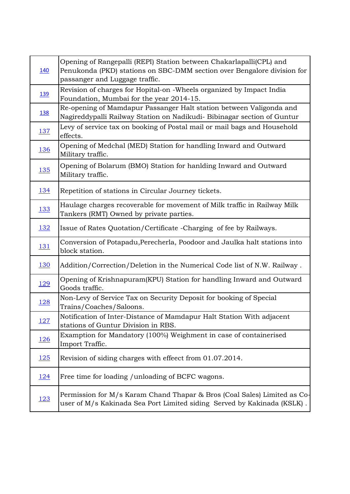| <u>140</u>  | Opening of Rangepalli (REPI) Station between Chakarlapalli(CPL) and<br>Penukonda (PKD) stations on SBC-DMM section over Bengalore division for<br>passanger and Luggage traffic. |
|-------------|----------------------------------------------------------------------------------------------------------------------------------------------------------------------------------|
| <u>139</u>  | Revision of charges for Hopital-on -Wheels organized by Impact India<br>Foundation, Mumbai for the year 2014-15.                                                                 |
| <u>138</u>  | Re-opening of Mamdapur Passanger Halt station between Valigonda and<br>Nagireddypalli Railway Station on Nadikudi- Bibinagar section of Guntur                                   |
| <u>137</u>  | Levy of service tax on booking of Postal mail or mail bags and Household<br>effects.                                                                                             |
| <u>136</u>  | Opening of Medchal (MED) Station for handling Inward and Outward<br>Military traffic.                                                                                            |
| <u>135</u>  | Opening of Bolarum (BMO) Station for hanlding Inward and Outward<br>Military traffic.                                                                                            |
| <u>134</u>  | Repetition of stations in Circular Journey tickets.                                                                                                                              |
| <u>133</u>  | Haulage charges recoverable for movement of Milk traffic in Railway Milk<br>Tankers (RMT) Owned by private parties.                                                              |
| <u>132</u>  | Issue of Rates Quotation/Certificate - Charging of fee by Railways.                                                                                                              |
| <u>131</u>  | Conversion of Potapadu, Perecherla, Poodoor and Jaulka halt stations into<br>block station.                                                                                      |
| <u>130</u>  | Addition/Correction/Deletion in the Numerical Code list of N.W. Railway.                                                                                                         |
| <u>129</u>  | Opening of Krishnapuram(KPU) Station for handling Inward and Outward<br>Goods traffic.                                                                                           |
| <u>128</u>  | Non-Levy of Service Tax on Security Deposit for booking of Special<br>Trains/Coaches/Saloons.                                                                                    |
| 127         | Notification of Inter-Distance of Mamdapur Halt Station With adjacent<br>stations of Guntur Division in RBS.                                                                     |
| <u>126</u>  | Examption for Mandatory (100%) Weighment in case of containerised<br>Import Traffic.                                                                                             |
| <u>125</u>  | Revision of siding charges with effect from 01.07.2014.                                                                                                                          |
| <u> 124</u> | Free time for loading / unloading of BCFC wagons.                                                                                                                                |
| <u> 123</u> | Permission for M/s Karam Chand Thapar & Bros (Coal Sales) Limited as Co-<br>user of M/s Kakinada Sea Port Limited siding Served by Kakinada (KSLK).                              |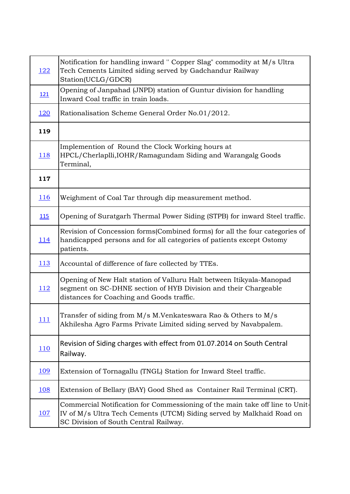| <u>122</u>  | Notification for handling inward " Copper Slag" commodity at M/s Ultra<br>Tech Cements Limited siding served by Gadchandur Railway<br>Station(UCLG/GDCR)                                       |
|-------------|------------------------------------------------------------------------------------------------------------------------------------------------------------------------------------------------|
| <u>121</u>  | Opening of Janpahad (JNPD) station of Guntur division for handling<br>Inward Coal traffic in train loads.                                                                                      |
| <u>120</u>  | Rationalisation Scheme General Order No.01/2012.                                                                                                                                               |
| 119         |                                                                                                                                                                                                |
| <u> 118</u> | Implemention of Round the Clock Working hours at<br>HPCL/Cherlaplli, IOHR/Ramagundam Siding and Warangalg Goods<br>Terminal,                                                                   |
| 117         |                                                                                                                                                                                                |
| <u>116</u>  | Weighment of Coal Tar through dip measurement method.                                                                                                                                          |
| <b>115</b>  | Opening of Suratgarh Thermal Power Siding (STPB) for inward Steel traffic.                                                                                                                     |
| <u> 114</u> | Revision of Concession forms (Combined forms) for all the four categories of<br>handicapped persons and for all categories of patients except Ostomy<br>patients.                              |
| <u> 113</u> | Accountal of difference of fare collected by TTEs.                                                                                                                                             |
| <u> 112</u> | Opening of New Halt station of Valluru Halt between Itikyala-Manopad<br>segment on SC-DHNE section of HYB Division and their Chargeable<br>distances for Coaching and Goods traffic.           |
| 111         | Transfer of siding from M/s M.Venkateswara Rao & Others to M/s<br>Akhilesha Agro Farms Private Limited siding served by Navabpalem.                                                            |
| 110         | Revision of Siding charges with effect from 01.07.2014 on South Central<br>Railway.                                                                                                            |
| <u>109</u>  | Extension of Tornagallu (TNGL) Station for Inward Steel traffic.                                                                                                                               |
| <u>108</u>  | Extension of Bellary (BAY) Good Shed as Container Rail Terminal (CRT).                                                                                                                         |
| 107         | Commercial Notification for Commessioning of the main take off line to Unit-<br>IV of M/s Ultra Tech Cements (UTCM) Siding served by Malkhaid Road on<br>SC Division of South Central Railway. |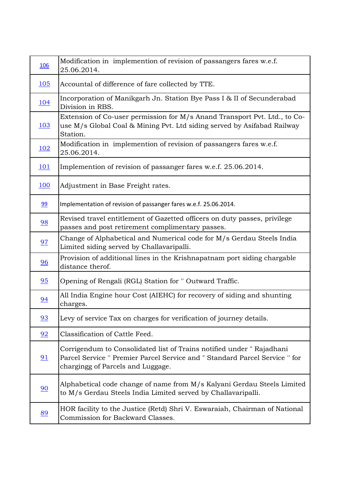| <u> 106</u> | Modification in implemention of revision of passangers fares w.e.f.<br>25.06.2014.                                                                                                       |
|-------------|------------------------------------------------------------------------------------------------------------------------------------------------------------------------------------------|
| 105         | Accountal of difference of fare collected by TTE.                                                                                                                                        |
| <u>104</u>  | Incorporation of Manikgarh Jn. Station Bye Pass I & II of Secunderabad<br>Division in RBS.                                                                                               |
| <u> 103</u> | Extension of Co-user permission for M/s Anand Transport Pvt. Ltd., to Co-<br>use M/s Global Coal & Mining Pvt. Ltd siding served by Asifabad Railway<br>Station.                         |
| <u> 102</u> | Modification in implemention of revision of passangers fares w.e.f.<br>25.06.2014.                                                                                                       |
| 101         | Implemention of revision of passanger fares w.e.f. 25.06.2014.                                                                                                                           |
| <u>100</u>  | Adjustment in Base Freight rates.                                                                                                                                                        |
| 99          | Implementation of revision of passanger fares w.e.f. 25.06.2014.                                                                                                                         |
| 98          | Revised travel entitlement of Gazetted officers on duty passes, privilege<br>passes and post retirement complimentary passes.                                                            |
| 97          | Change of Alphabetical and Numerical code for M/s Gerdau Steels India<br>Limited siding served by Challavaripalli.                                                                       |
| 96          | Provision of additional lines in the Krishnapatnam port siding chargable<br>distance therof.                                                                                             |
| 95          | Opening of Rengali (RGL) Station for " Outward Traffic.                                                                                                                                  |
| 94          | All India Engine hour Cost (AIEHC) for recovery of siding and shunting<br>charges.                                                                                                       |
| 93          | Levy of service Tax on charges for verification of journey details.                                                                                                                      |
| 92          | Classification of Cattle Feed.                                                                                                                                                           |
| 91          | Corrigendum to Consolidated list of Trains notified under "Rajadhani<br>Parcel Service " Premier Parcel Service and " Standard Parcel Service " for<br>chargingg of Parcels and Luggage. |
| 90          | Alphabetical code change of name from M/s Kalyani Gerdau Steels Limited<br>to M/s Gerdau Steels India Limited served by Challavaripalli.                                                 |
| 89          | HOR facility to the Justice (Retd) Shri V. Eswaraiah, Chairman of National<br>Commission for Backward Classes.                                                                           |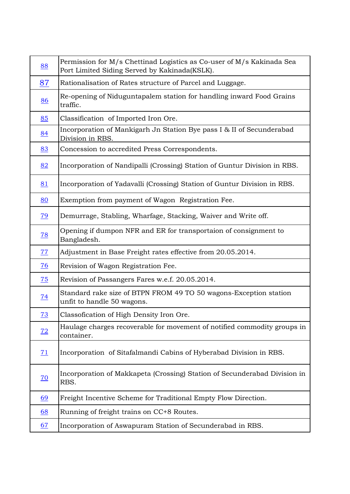| 88              | Permission for M/s Chettinad Logistics as Co-user of M/s Kakinada Sea<br>Port Limited Siding Served by Kakinada(KSLK). |
|-----------------|------------------------------------------------------------------------------------------------------------------------|
| 87              | Rationalisation of Rates structure of Parcel and Luggage.                                                              |
| 86              | Re-opening of Niduguntapalem station for handling inward Food Grains<br>traffic.                                       |
| 85              | Classification of Imported Iron Ore.                                                                                   |
| 84              | Incorporation of Mankigarh Jn Station Bye pass I & II of Secunderabad<br>Division in RBS.                              |
| 83              | Concession to accredited Press Correspondents.                                                                         |
| 82              | Incorporation of Nandipalli (Crossing) Station of Guntur Division in RBS.                                              |
| 81              | Incorporation of Yadavalli (Crossing) Station of Guntur Division in RBS.                                               |
| 80              | Exemption from payment of Wagon Registration Fee.                                                                      |
| $\overline{79}$ | Demurrage, Stabling, Wharfage, Stacking, Waiver and Write off.                                                         |
| $\overline{28}$ | Opening if dumpon NFR and ER for transportaion of consignment to<br>Bangladesh.                                        |
| 77              | Adjustment in Base Freight rates effective from 20.05.2014.                                                            |
| $\overline{26}$ | Revision of Wagon Registration Fee.                                                                                    |
| $\overline{25}$ | Revision of Passangers Fares w.e.f. 20.05.2014.                                                                        |
| <u>74</u>       | Standard rake size of BTPN FROM 49 TO 50 wagons-Exception station<br>unfit to handle 50 wagons.                        |
| 73              | Classofication of High Density Iron Ore.                                                                               |
| $\overline{12}$ | Haulage charges recoverable for movement of notified commodity groups in<br>container.                                 |
| 71              | Incorporation of Sitafalmandi Cabins of Hyberabad Division in RBS.                                                     |
| $\overline{70}$ | Incorporation of Makkapeta (Crossing) Station of Secunderabad Division in<br>RBS.                                      |
| <u>69</u>       | Freight Incentive Scheme for Traditional Empty Flow Direction.                                                         |
| <u>68</u>       | Running of freight trains on CC+8 Routes.                                                                              |
| <u>67</u>       | Incorporation of Aswapuram Station of Secunderabad in RBS.                                                             |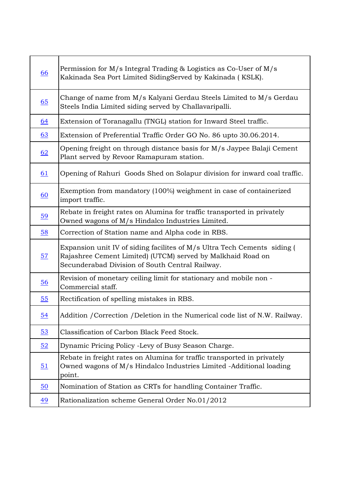| 66               | Permission for M/s Integral Trading & Logistics as Co-User of M/s<br>Kakinada Sea Port Limited SidingServed by Kakinada (KSLK).                                                            |
|------------------|--------------------------------------------------------------------------------------------------------------------------------------------------------------------------------------------|
| 65               | Change of name from M/s Kalyani Gerdau Steels Limited to M/s Gerdau<br>Steels India Limited siding served by Challavaripalli.                                                              |
| <u>64</u>        | Extension of Toranagallu (TNGL) station for Inward Steel traffic.                                                                                                                          |
| <u>63</u>        | Extension of Preferential Traffic Order GO No. 86 upto 30.06.2014.                                                                                                                         |
| <u>62</u>        | Opening freight on through distance basis for M/s Jaypee Balaji Cement<br>Plant served by Revoor Ramapuram station.                                                                        |
| 61               | Opening of Rahuri Goods Shed on Solapur division for inward coal traffic.                                                                                                                  |
| $\underline{60}$ | Exemption from mandatory (100%) weighment in case of containerized<br>import traffic.                                                                                                      |
| $\frac{59}{2}$   | Rebate in freight rates on Alumina for traffic transported in privately<br>Owned wagons of M/s Hindalco Industries Limited.                                                                |
| 58               | Correction of Station name and Alpha code in RBS.                                                                                                                                          |
| 57               | Expansion unit IV of siding facilites of M/s Ultra Tech Cements siding (<br>Rajashree Cement Limited) (UTCM) served by Malkhaid Road on<br>Secunderabad Division of South Central Railway. |
| 56               | Revision of monetary ceiling limit for stationary and mobile non -<br>Commercial staff.                                                                                                    |
| 55               | Rectification of spelling mistakes in RBS.                                                                                                                                                 |
| 54               | Addition / Correction / Deletion in the Numerical code list of N.W. Railway.                                                                                                               |
| 53               | Classification of Carbon Black Feed Stock.                                                                                                                                                 |
| 52               | Dynamic Pricing Policy -Levy of Busy Season Charge.                                                                                                                                        |
| 51               | Rebate in freight rates on Alumina for traffic transported in privately<br>Owned wagons of M/s Hindalco Industries Limited -Additional loading<br>point.                                   |
| $\underline{50}$ | Nomination of Station as CRTs for handling Container Traffic.                                                                                                                              |
| $\underline{49}$ | Rationalization scheme General Order No.01/2012                                                                                                                                            |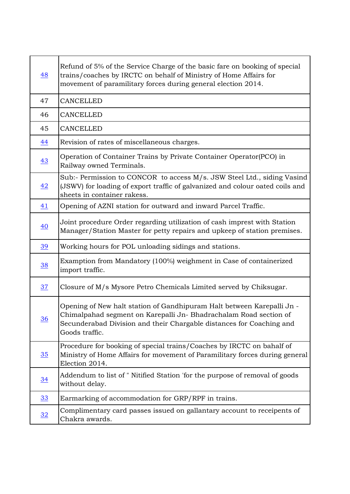| 48               | Refund of 5% of the Service Charge of the basic fare on booking of special<br>trains/coaches by IRCTC on behalf of Ministry of Home Affairs for<br>movement of paramilitary forces during general election 2014.                     |
|------------------|--------------------------------------------------------------------------------------------------------------------------------------------------------------------------------------------------------------------------------------|
| 47               | <b>CANCELLED</b>                                                                                                                                                                                                                     |
| 46               | <b>CANCELLED</b>                                                                                                                                                                                                                     |
| 45               | <b>CANCELLED</b>                                                                                                                                                                                                                     |
| 44               | Revision of rates of miscellaneous charges.                                                                                                                                                                                          |
| $\underline{43}$ | Operation of Container Trains by Private Container Operator(PCO) in<br>Railway owned Terminals.                                                                                                                                      |
| 42               | Sub:- Permission to CONCOR to access M/s. JSW Steel Ltd., siding Vasind<br>(JSWV) for loading of export traffic of galvanized and colour oated coils and<br>sheets in container rakess.                                              |
| 41               | Opening of AZNI station for outward and inward Parcel Traffic.                                                                                                                                                                       |
| $\underline{40}$ | Joint procedure Order regarding utilization of cash imprest with Station<br>Manager/Station Master for petty repairs and upkeep of station premises.                                                                                 |
| 39               | Working hours for POL unloading sidings and stations.                                                                                                                                                                                |
| $\frac{38}{2}$   | Examption from Mandatory (100%) weighment in Case of containerized<br>import traffic.                                                                                                                                                |
| 37               | Closure of M/s Mysore Petro Chemicals Limited served by Chiksugar.                                                                                                                                                                   |
| $\frac{36}{5}$   | Opening of New halt station of Gandhipuram Halt between Karepalli Jn -<br>Chimalpahad segment on Karepalli Jn-Bhadrachalam Road section of<br>Secunderabad Division and their Chargable distances for Coaching and<br>Goods traffic. |
| 35               | Procedure for booking of special trains/Coaches by IRCTC on bahalf of<br>Ministry of Home Affairs for movement of Paramilitary forces during general<br>Election 2014.                                                               |
| $\underline{34}$ | Addendum to list of "Nitified Station 'for the purpose of removal of goods<br>without delay.                                                                                                                                         |
| 33               | Earmarking of accommodation for GRP/RPF in trains.                                                                                                                                                                                   |
| $\frac{32}{2}$   | Complimentary card passes issued on gallantary account to receipents of<br>Chakra awards.                                                                                                                                            |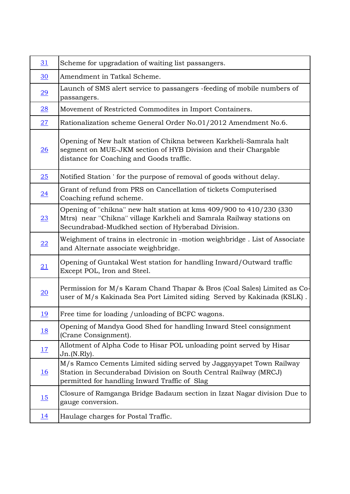| 31               | Scheme for upgradation of waiting list passangers.                                                                                                                                                |
|------------------|---------------------------------------------------------------------------------------------------------------------------------------------------------------------------------------------------|
| $\overline{30}$  | Amendment in Tatkal Scheme.                                                                                                                                                                       |
| $\overline{29}$  | Launch of SMS alert service to passangers -feeding of mobile numbers of<br>passangers.                                                                                                            |
| $\overline{28}$  | Movement of Restricted Commodites in Import Containers.                                                                                                                                           |
| 27               | Rationalization scheme General Order No.01/2012 Amendment No.6.                                                                                                                                   |
| 26               | Opening of New halt station of Chikna between Karkheli-Samrala halt<br>segment on MUE-JKM section of HYB Division and their Chargable<br>distance for Coaching and Goods traffic.                 |
| 25               | Notified Station ' for the purpose of removal of goods without delay.                                                                                                                             |
| $\overline{24}$  | Grant of refund from PRS on Cancellation of tickets Computerised<br>Coaching refund scheme.                                                                                                       |
| $\overline{23}$  | Opening of "chikna" new halt station at kms 409/900 to 410/230 (330<br>Mtrs) near "Chikna" village Karkheli and Samrala Railway stations on<br>Secundrabad-Mudkhed section of Hyberabad Division. |
| $\overline{22}$  | Weighment of trains in electronic in -motion weighbridge. List of Associate<br>and Alternate associate weighbridge.                                                                               |
| <u>21</u>        | Opening of Guntakal West station for handling Inward/Outward traffic<br>Except POL, Iron and Steel.                                                                                               |
| $\overline{20}$  | Permission for M/s Karam Chand Thapar & Bros (Coal Sales) Limited as Co-<br>user of M/s Kakinada Sea Port Limited siding Served by Kakinada (KSLK).                                               |
| <u> 19</u>       | Free time for loading / unloading of BCFC wagons.                                                                                                                                                 |
| <u>18</u>        | Opening of Mandya Good Shed for handling Inward Steel consignment<br>(Crane Consignment).                                                                                                         |
| 17               | Allotment of Alpha Code to Hisar POL unloading point served by Hisar<br>Jn.(N.Rly).                                                                                                               |
| $\underline{16}$ | M/s Ramco Cements Limited siding served by Jaggayyapet Town Railway<br>Station in Secunderabad Division on South Central Railway (MRCJ)<br>permitted for handling Inward Traffic of Slag          |
| 15               | Closure of Ramganga Bridge Badaum section in Izzat Nagar division Due to<br>gauge conversion.                                                                                                     |
| <u> 14</u>       | Haulage charges for Postal Traffic.                                                                                                                                                               |